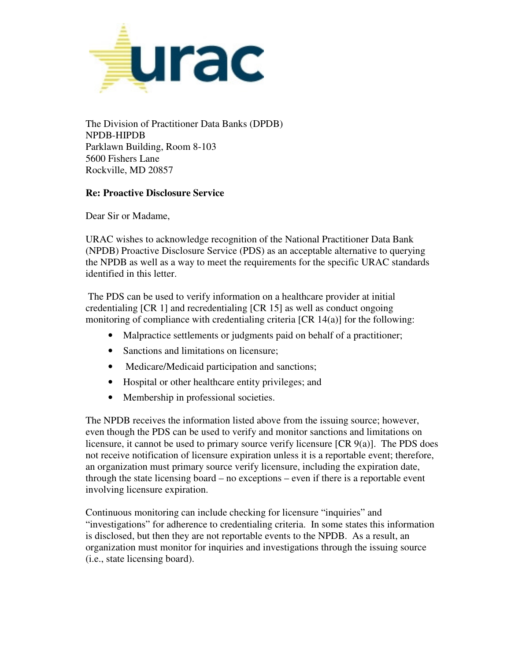

 The Division of Practitioner Data Banks (DPDB) NPDB-HIPDB 5600 Fishers Lane Parklawn Building, Room 8-103 Rockville, MD 20857

## **Re: Proactive Disclosure Service**

Dear Sir or Madame,

 (NPDB) Proactive Disclosure Service (PDS) as an acceptable alternative to querying URAC wishes to acknowledge recognition of the National Practitioner Data Bank the NPDB as well as a way to meet the requirements for the specific URAC standards identified in this letter.

 monitoring of compliance with credentialing criteria [CR 14(a)] for the following: The PDS can be used to verify information on a healthcare provider at initial credentialing [CR 1] and recredentialing [CR 15] as well as conduct ongoing

- Malpractice settlements or judgments paid on behalf of a practitioner;
- Sanctions and limitations on licensure:
- Medicare/Medicaid participation and sanctions;
- Hospital or other healthcare entity privileges; and
- Membership in professional societies.

The NPDB receives the information listed above from the issuing source; however, even though the PDS can be used to verify and monitor sanctions and limitations on licensure, it cannot be used to primary source verify licensure [CR 9(a)]. The PDS does not receive notification of licensure expiration unless it is a reportable event; therefore, an organization must primary source verify licensure, including the expiration date, through the state licensing board – no exceptions – even if there is a reportable event involving licensure expiration.

 Continuous monitoring can include checking for licensure "inquiries" and "investigations" for adherence to credentialing criteria. In some states this information is disclosed, but then they are not reportable events to the NPDB. As a result, an organization must monitor for inquiries and investigations through the issuing source (i.e., state licensing board).